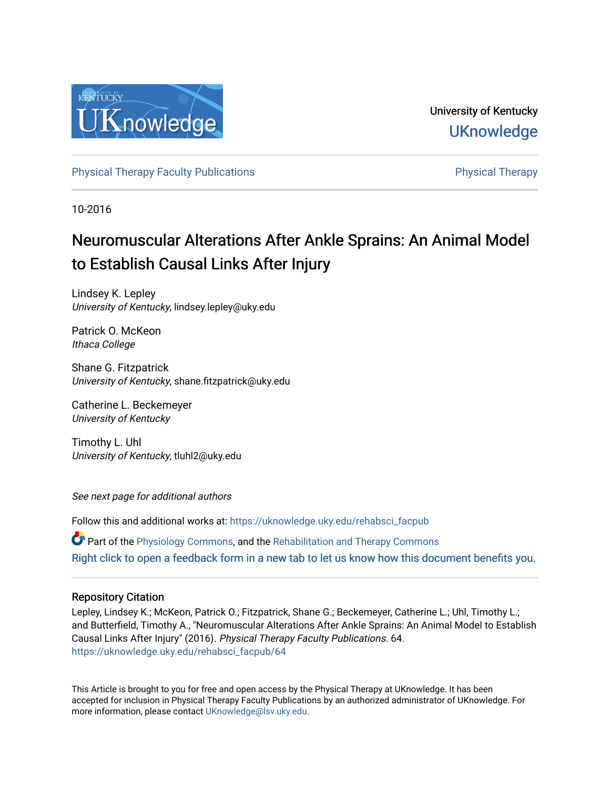

University of Kentucky **UKnowledge** 

[Physical Therapy Faculty Publications](https://uknowledge.uky.edu/rehabsci_facpub) **Physical Therapy** Physical Therapy

10-2016

# Neuromuscular Alterations After Ankle Sprains: An Animal Model to Establish Causal Links After Injury

Lindsey K. Lepley University of Kentucky, lindsey.lepley@uky.edu

Patrick O. McKeon Ithaca College

Shane G. Fitzpatrick University of Kentucky, shane.fitzpatrick@uky.edu

Catherine L. Beckemeyer University of Kentucky

Timothy L. Uhl University of Kentucky, tluhl2@uky.edu

See next page for additional authors

Follow this and additional works at: [https://uknowledge.uky.edu/rehabsci\\_facpub](https://uknowledge.uky.edu/rehabsci_facpub?utm_source=uknowledge.uky.edu%2Frehabsci_facpub%2F64&utm_medium=PDF&utm_campaign=PDFCoverPages) 

Part of the [Physiology Commons](http://network.bepress.com/hgg/discipline/69?utm_source=uknowledge.uky.edu%2Frehabsci_facpub%2F64&utm_medium=PDF&utm_campaign=PDFCoverPages), and the [Rehabilitation and Therapy Commons](http://network.bepress.com/hgg/discipline/749?utm_source=uknowledge.uky.edu%2Frehabsci_facpub%2F64&utm_medium=PDF&utm_campaign=PDFCoverPages)  [Right click to open a feedback form in a new tab to let us know how this document benefits you.](https://uky.az1.qualtrics.com/jfe/form/SV_9mq8fx2GnONRfz7)

# Repository Citation

Lepley, Lindsey K.; McKeon, Patrick O.; Fitzpatrick, Shane G.; Beckemeyer, Catherine L.; Uhl, Timothy L.; and Butterfield, Timothy A., "Neuromuscular Alterations After Ankle Sprains: An Animal Model to Establish Causal Links After Injury" (2016). Physical Therapy Faculty Publications. 64. [https://uknowledge.uky.edu/rehabsci\\_facpub/64](https://uknowledge.uky.edu/rehabsci_facpub/64?utm_source=uknowledge.uky.edu%2Frehabsci_facpub%2F64&utm_medium=PDF&utm_campaign=PDFCoverPages)

This Article is brought to you for free and open access by the Physical Therapy at UKnowledge. It has been accepted for inclusion in Physical Therapy Faculty Publications by an authorized administrator of UKnowledge. For more information, please contact [UKnowledge@lsv.uky.edu](mailto:UKnowledge@lsv.uky.edu).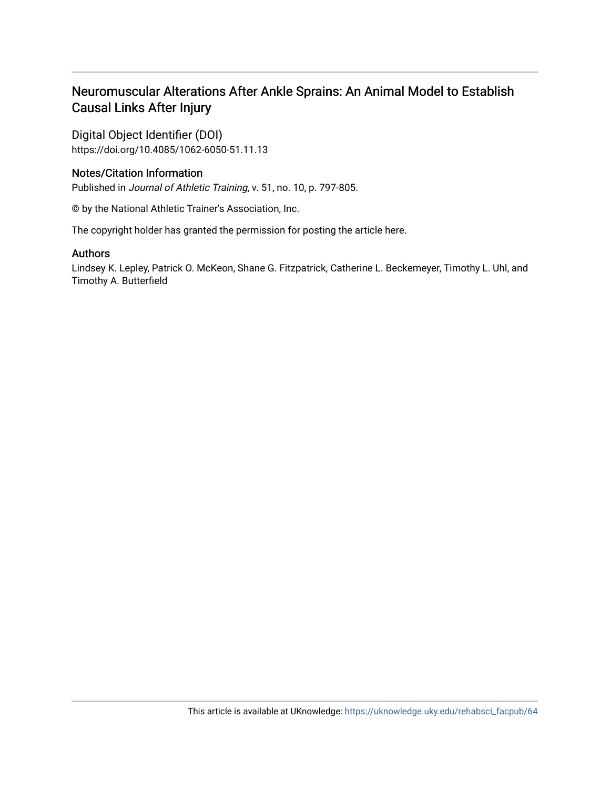# Neuromuscular Alterations After Ankle Sprains: An Animal Model to Establish Causal Links After Injury

Digital Object Identifier (DOI) https://doi.org/10.4085/1062-6050-51.11.13

# Notes/Citation Information

Published in Journal of Athletic Training, v. 51, no. 10, p. 797-805.

© by the National Athletic Trainer's Association, Inc.

The copyright holder has granted the permission for posting the article here.

# Authors

Lindsey K. Lepley, Patrick O. McKeon, Shane G. Fitzpatrick, Catherine L. Beckemeyer, Timothy L. Uhl, and Timothy A. Butterfield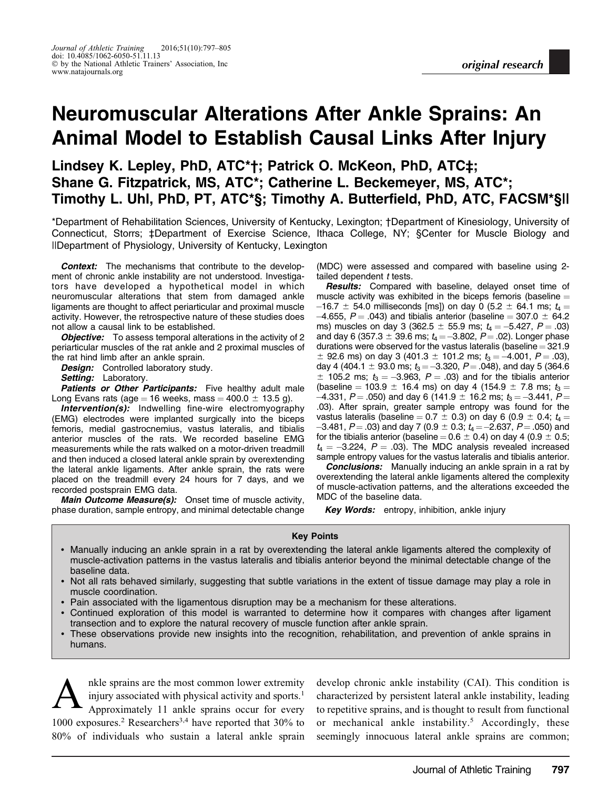# Neuromuscular Alterations After Ankle Sprains: An Animal Model to Establish Causal Links After Injury

Lindsey K. Lepley, PhD, ATC\*†; Patrick O. McKeon, PhD, ATC‡; Shane G. Fitzpatrick, MS, ATC\*; Catherine L. Beckemeyer, MS, ATC\*; Timothy L. Uhl, PhD, PT, ATC\*§; Timothy A. Butterfield, PhD, ATC, FACSM\*§||

\*Department of Rehabilitation Sciences, University of Kentucky, Lexington; †Department of Kinesiology, University of Connecticut, Storrs; ‡Department of Exercise Science, Ithaca College, NY; §Center for Muscle Biology and ||Department of Physiology, University of Kentucky, Lexington

**Context:** The mechanisms that contribute to the development of chronic ankle instability are not understood. Investigators have developed a hypothetical model in which neuromuscular alterations that stem from damaged ankle ligaments are thought to affect periarticular and proximal muscle activity. However, the retrospective nature of these studies does not allow a causal link to be established.

**Objective:** To assess temporal alterations in the activity of 2 periarticular muscles of the rat ankle and 2 proximal muscles of the rat hind limb after an ankle sprain.

Design: Controlled laboratory study.

Setting: Laboratory.

Patients or Other Participants: Five healthy adult male Long Evans rats (age = 16 weeks, mass =  $400.0 \pm 13.5$  g).

Intervention(s): Indwelling fine-wire electromyography (EMG) electrodes were implanted surgically into the biceps femoris, medial gastrocnemius, vastus lateralis, and tibialis anterior muscles of the rats. We recorded baseline EMG measurements while the rats walked on a motor-driven treadmill and then induced a closed lateral ankle sprain by overextending the lateral ankle ligaments. After ankle sprain, the rats were placed on the treadmill every 24 hours for 7 days, and we recorded postsprain EMG data.

Main Outcome Measure(s): Onset time of muscle activity, phase duration, sample entropy, and minimal detectable change

(MDC) were assessed and compared with baseline using 2 tailed dependent *t* tests.

**Results:** Compared with baseline, delayed onset time of muscle activity was exhibited in the biceps femoris (baseline  $=$  $-16.7$   $\pm$  54.0 milliseconds [ms]) on day 0 (5.2  $\pm$  64.1 ms;  $t_4$  =  $-4.655, P = .043$ ) and tibialis anterior (baseline = 307.0  $\pm$  64.2 ms) muscles on day 3 (362.5  $\pm$  55.9 ms;  $t_4 = -5.427, P = .03$ ) and day 6 (357.3  $\pm$  39.6 ms;  $t_{\rm 4}$   $=$   $-3.802,$   $P$   $=$  .02). Longer phase durations were observed for the vastus lateralis (baseline  $=$  321.9  $\pm$  92.6 ms) on day 3 (401.3  $\pm$  101.2 ms;  $t_3 = -4.001$ ,  $P = .03$ ), day 4 (404.1  $\pm$  93.0 ms;  $t_{3} \! = \! -3.320$ ,  $P \! = \! 0.048$ ), and day 5 (364.6  $\pm$  105.2 ms;  $t_3 = -3.963, P = .03$ ) and for the tibialis anterior (baseline = 103.9  $\pm$  16.4 ms) on day 4 (154.9  $\pm$  7.8 ms;  $t_3$  =  $-4.331, P = .050$ ) and day 6 (141.9  $\pm$  16.2 ms;  $t_3$  =  $-3.441, P =$ .03). After sprain, greater sample entropy was found for the vastus lateralis (baseline =  $0.7 \pm 0.3$ ) on day 6 (0.9  $\pm$  0.4;  $t_4$  =  $-3.481, P = .03)$  and day 7 (0.9  $\pm$  0.3;  $t_4$  =  $-2.637, P = .050)$  and for the tibialis anterior (baseline =  $0.6 \pm 0.4$ ) on day 4 (0.9  $\pm$  0.5;  $t_4 = -3.224$ ,  $P = .03$ ). The MDC analysis revealed increased sample entropy values for the vastus lateralis and tibialis anterior.

**Conclusions:** Manually inducing an ankle sprain in a rat by overextending the lateral ankle ligaments altered the complexity of muscle-activation patterns, and the alterations exceeded the MDC of the baseline data.

Key Words: entropy, inhibition, ankle injury

#### Key Points

- Manually inducing an ankle sprain in a rat by overextending the lateral ankle ligaments altered the complexity of muscle-activation patterns in the vastus lateralis and tibialis anterior beyond the minimal detectable change of the baseline data.
- Not all rats behaved similarly, suggesting that subtle variations in the extent of tissue damage may play a role in muscle coordination.
- Pain associated with the ligamentous disruption may be a mechanism for these alterations.
- Continued exploration of this model is warranted to determine how it compares with changes after ligament transection and to explore the natural recovery of muscle function after ankle sprain.
- These observations provide new insights into the recognition, rehabilitation, and prevention of ankle sprains in humans.

A<br>  $\sum_{\text{Approximately 11}\text{ankle sprains occur for every}}$ injury associated with physical activity and sports.<sup>1</sup> 1000 exposures.<sup>2</sup> Researchers<sup>3,4</sup> have reported that  $30\%$  to 80% of individuals who sustain a lateral ankle sprain

develop chronic ankle instability (CAI). This condition is characterized by persistent lateral ankle instability, leading to repetitive sprains, and is thought to result from functional or mechanical ankle instability.<sup>5</sup> Accordingly, these seemingly innocuous lateral ankle sprains are common;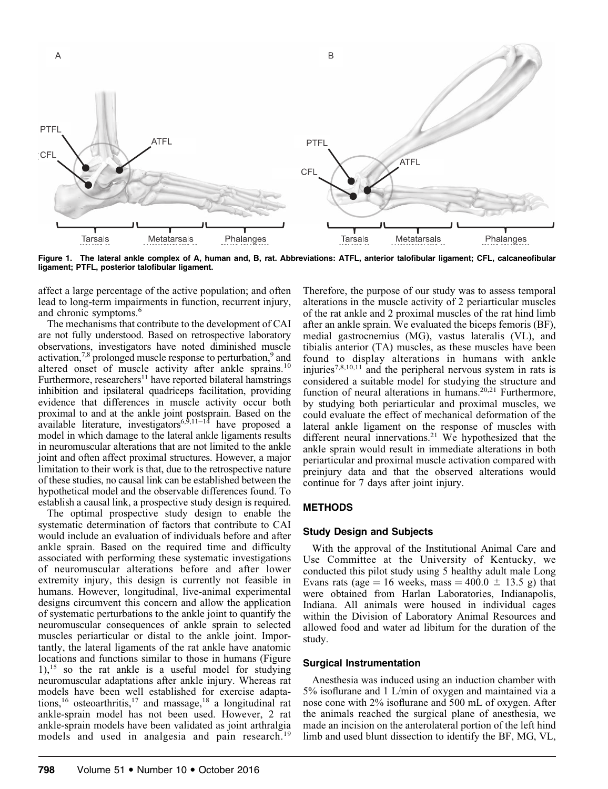

Figure 1. The lateral ankle complex of A, human and, B, rat. Abbreviations: ATFL, anterior talofibular ligament; CFL, calcaneofibular ligament; PTFL, posterior talofibular ligament.

affect a large percentage of the active population; and often lead to long-term impairments in function, recurrent injury, and chronic symptoms.<sup>6</sup>

The mechanisms that contribute to the development of CAI are not fully understood. Based on retrospective laboratory observations, investigators have noted diminished muscle activation,<sup>7,8</sup> prolonged muscle response to perturbation,<sup>9</sup> and altered onset of muscle activity after ankle sprains.<sup>10</sup> Furthermore, researchers<sup>11</sup> have reported bilateral hamstrings inhibition and ipsilateral quadriceps facilitation, providing evidence that differences in muscle activity occur both proximal to and at the ankle joint postsprain. Based on the available literature, investigators<sup>6,9,11-14</sup> have proposed a model in which damage to the lateral ankle ligaments results in neuromuscular alterations that are not limited to the ankle joint and often affect proximal structures. However, a major limitation to their work is that, due to the retrospective nature of these studies, no causal link can be established between the hypothetical model and the observable differences found. To establish a causal link, a prospective study design is required.

The optimal prospective study design to enable the systematic determination of factors that contribute to CAI would include an evaluation of individuals before and after ankle sprain. Based on the required time and difficulty associated with performing these systematic investigations of neuromuscular alterations before and after lower extremity injury, this design is currently not feasible in humans. However, longitudinal, live-animal experimental designs circumvent this concern and allow the application of systematic perturbations to the ankle joint to quantify the neuromuscular consequences of ankle sprain to selected muscles periarticular or distal to the ankle joint. Importantly, the lateral ligaments of the rat ankle have anatomic locations and functions similar to those in humans (Figure  $1$ ,<sup>15</sup> so the rat ankle is a useful model for studying neuromuscular adaptations after ankle injury. Whereas rat models have been well established for exercise adaptations,<sup>16</sup> osteoarthritis,<sup>17</sup> and massage,<sup>18</sup> a longitudinal rat ankle-sprain model has not been used. However, 2 rat ankle-sprain models have been validated as joint arthralgia models and used in analgesia and pain research.<sup>19</sup>

Therefore, the purpose of our study was to assess temporal alterations in the muscle activity of 2 periarticular muscles of the rat ankle and 2 proximal muscles of the rat hind limb after an ankle sprain. We evaluated the biceps femoris (BF), medial gastrocnemius (MG), vastus lateralis (VL), and tibialis anterior (TA) muscles, as these muscles have been found to display alterations in humans with ankle injuries<sup>7,8,10,11</sup> and the peripheral nervous system in rats is considered a suitable model for studying the structure and function of neural alterations in humans.<sup>20,21</sup> Furthermore, by studying both periarticular and proximal muscles, we could evaluate the effect of mechanical deformation of the lateral ankle ligament on the response of muscles with different neural innervations.<sup>21</sup> We hypothesized that the ankle sprain would result in immediate alterations in both periarticular and proximal muscle activation compared with preinjury data and that the observed alterations would continue for 7 days after joint injury.

#### **METHODS**

#### Study Design and Subjects

With the approval of the Institutional Animal Care and Use Committee at the University of Kentucky, we conducted this pilot study using 5 healthy adult male Long Evans rats (age  $= 16$  weeks, mass  $= 400.0 \pm 13.5$  g) that were obtained from Harlan Laboratories, Indianapolis, Indiana. All animals were housed in individual cages within the Division of Laboratory Animal Resources and allowed food and water ad libitum for the duration of the study.

#### Surgical Instrumentation

Anesthesia was induced using an induction chamber with 5% isoflurane and 1 L/min of oxygen and maintained via a nose cone with 2% isoflurane and 500 mL of oxygen. After the animals reached the surgical plane of anesthesia, we made an incision on the anterolateral portion of the left hind limb and used blunt dissection to identify the BF, MG, VL,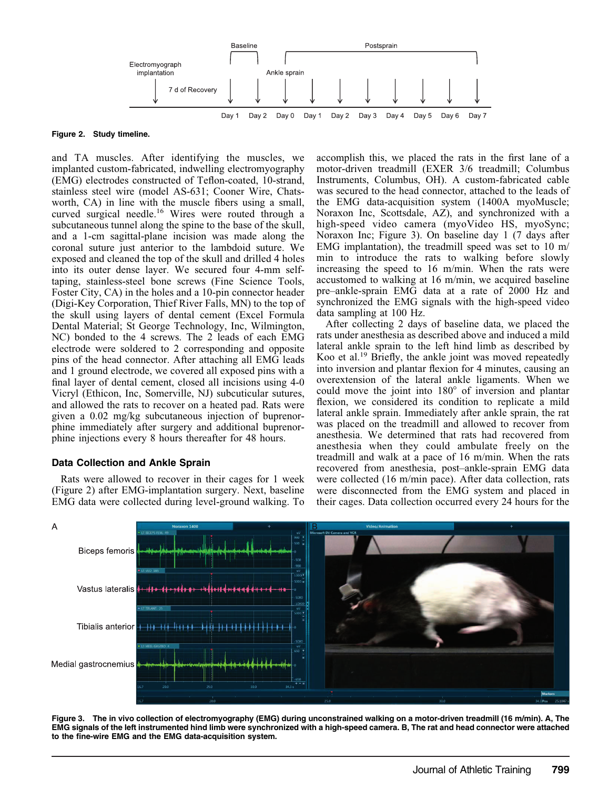

Figure 2. Study timeline.

and TA muscles. After identifying the muscles, we implanted custom-fabricated, indwelling electromyography (EMG) electrodes constructed of Teflon-coated, 10-strand, stainless steel wire (model AS-631; Cooner Wire, Chatsworth, CA) in line with the muscle fibers using a small, curved surgical needle.<sup>16</sup> Wires were routed through a subcutaneous tunnel along the spine to the base of the skull, and a 1-cm sagittal-plane incision was made along the coronal suture just anterior to the lambdoid suture. We exposed and cleaned the top of the skull and drilled 4 holes into its outer dense layer. We secured four 4-mm selftaping, stainless-steel bone screws (Fine Science Tools, Foster City, CA) in the holes and a 10-pin connector header (Digi-Key Corporation, Thief River Falls, MN) to the top of the skull using layers of dental cement (Excel Formula Dental Material; St George Technology, Inc, Wilmington, NC) bonded to the 4 screws. The 2 leads of each EMG electrode were soldered to 2 corresponding and opposite pins of the head connector. After attaching all EMG leads and 1 ground electrode, we covered all exposed pins with a final layer of dental cement, closed all incisions using 4-0 Vicryl (Ethicon, Inc, Somerville, NJ) subcuticular sutures, and allowed the rats to recover on a heated pad. Rats were given a 0.02 mg/kg subcutaneous injection of buprenorphine immediately after surgery and additional buprenorphine injections every 8 hours thereafter for 48 hours.

#### Data Collection and Ankle Sprain

Rats were allowed to recover in their cages for 1 week (Figure 2) after EMG-implantation surgery. Next, baseline EMG data were collected during level-ground walking. To accomplish this, we placed the rats in the first lane of a motor-driven treadmill (EXER 3/6 treadmill; Columbus Instruments, Columbus, OH). A custom-fabricated cable was secured to the head connector, attached to the leads of the EMG data-acquisition system (1400A myoMuscle; Noraxon Inc, Scottsdale, AZ), and synchronized with a high-speed video camera (myoVideo HS, myoSync; Noraxon Inc; Figure 3). On baseline day 1 (7 days after EMG implantation), the treadmill speed was set to 10 m/ min to introduce the rats to walking before slowly increasing the speed to 16 m/min. When the rats were accustomed to walking at 16 m/min, we acquired baseline pre–ankle-sprain EMG data at a rate of 2000 Hz and synchronized the EMG signals with the high-speed video data sampling at 100 Hz.

After collecting 2 days of baseline data, we placed the rats under anesthesia as described above and induced a mild lateral ankle sprain to the left hind limb as described by Koo et al.<sup>19</sup> Briefly, the ankle joint was moved repeatedly into inversion and plantar flexion for 4 minutes, causing an overextension of the lateral ankle ligaments. When we could move the joint into  $180^\circ$  of inversion and plantar flexion, we considered its condition to replicate a mild lateral ankle sprain. Immediately after ankle sprain, the rat was placed on the treadmill and allowed to recover from anesthesia. We determined that rats had recovered from anesthesia when they could ambulate freely on the treadmill and walk at a pace of 16 m/min. When the rats recovered from anesthesia, post–ankle-sprain EMG data were collected (16 m/min pace). After data collection, rats were disconnected from the EMG system and placed in their cages. Data collection occurred every 24 hours for the



Figure 3. The in vivo collection of electromyography (EMG) during unconstrained walking on a motor-driven treadmill (16 m/min). A, The EMG signals of the left instrumented hind limb were synchronized with a high-speed camera. B, The rat and head connector were attached to the fine-wire EMG and the EMG data-acquisition system.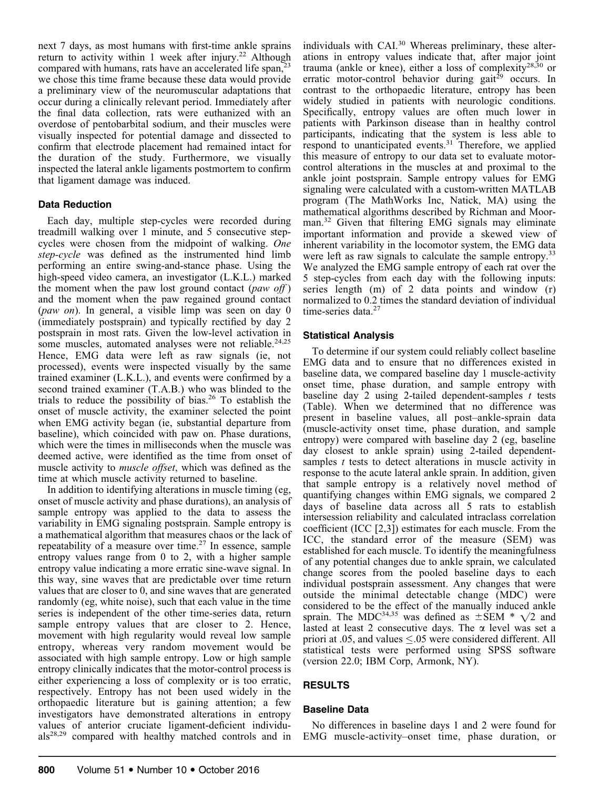next 7 days, as most humans with first-time ankle sprains return to activity within 1 week after injury.<sup>22</sup> Although compared with humans, rats have an accelerated life span,23 we chose this time frame because these data would provide a preliminary view of the neuromuscular adaptations that occur during a clinically relevant period. Immediately after the final data collection, rats were euthanized with an overdose of pentobarbital sodium, and their muscles were visually inspected for potential damage and dissected to confirm that electrode placement had remained intact for the duration of the study. Furthermore, we visually inspected the lateral ankle ligaments postmortem to confirm that ligament damage was induced.

### Data Reduction

Each day, multiple step-cycles were recorded during treadmill walking over 1 minute, and 5 consecutive stepcycles were chosen from the midpoint of walking. One step-cycle was defined as the instrumented hind limb performing an entire swing-and-stance phase. Using the high-speed video camera, an investigator (L.K.L.) marked the moment when the paw lost ground contact  $(paw \; off)$ and the moment when the paw regained ground contact (*paw on*). In general, a visible limp was seen on day 0 (immediately postsprain) and typically rectified by day 2 postsprain in most rats. Given the low-level activation in some muscles, automated analyses were not reliable.<sup>24,25</sup> Hence, EMG data were left as raw signals (ie, not processed), events were inspected visually by the same trained examiner (L.K.L.), and events were confirmed by a second trained examiner (T.A.B.) who was blinded to the trials to reduce the possibility of bias. $26$  To establish the onset of muscle activity, the examiner selected the point when EMG activity began (ie, substantial departure from baseline), which coincided with paw on. Phase durations, which were the times in milliseconds when the muscle was deemed active, were identified as the time from onset of muscle activity to *muscle offset*, which was defined as the time at which muscle activity returned to baseline.

In addition to identifying alterations in muscle timing (eg, onset of muscle activity and phase durations), an analysis of sample entropy was applied to the data to assess the variability in EMG signaling postsprain. Sample entropy is a mathematical algorithm that measures chaos or the lack of repeatability of a measure over time.<sup>27</sup> In essence, sample entropy values range from 0 to 2, with a higher sample entropy value indicating a more erratic sine-wave signal. In this way, sine waves that are predictable over time return values that are closer to 0, and sine waves that are generated randomly (eg, white noise), such that each value in the time series is independent of the other time-series data, return sample entropy values that are closer to 2. Hence, movement with high regularity would reveal low sample entropy, whereas very random movement would be associated with high sample entropy. Low or high sample entropy clinically indicates that the motor-control process is either experiencing a loss of complexity or is too erratic, respectively. Entropy has not been used widely in the orthopaedic literature but is gaining attention; a few investigators have demonstrated alterations in entropy values of anterior cruciate ligament-deficient individuals28,29 compared with healthy matched controls and in

individuals with CAI.<sup>30</sup> Whereas preliminary, these alterations in entropy values indicate that, after major joint trauma (ankle or knee), either a loss of complexity<sup>28,30</sup> or erratic motor-control behavior during gait<sup> $29$ </sup> occurs. In contrast to the orthopaedic literature, entropy has been widely studied in patients with neurologic conditions. Specifically, entropy values are often much lower in patients with Parkinson disease than in healthy control participants, indicating that the system is less able to respond to unanticipated events.<sup>31</sup> Therefore, we applied this measure of entropy to our data set to evaluate motorcontrol alterations in the muscles at and proximal to the ankle joint postsprain. Sample entropy values for EMG signaling were calculated with a custom-written MATLAB program (The MathWorks Inc, Natick, MA) using the mathematical algorithms described by Richman and Moorman.<sup>32</sup> Given that filtering EMG signals may eliminate important information and provide a skewed view of inherent variability in the locomotor system, the EMG data were left as raw signals to calculate the sample entropy.<sup>33</sup> We analyzed the EMG sample entropy of each rat over the 5 step-cycles from each day with the following inputs: series length (m) of 2 data points and window (r) normalized to 0.2 times the standard deviation of individual time-series data. $27$ 

### Statistical Analysis

To determine if our system could reliably collect baseline EMG data and to ensure that no differences existed in baseline data, we compared baseline day 1 muscle-activity onset time, phase duration, and sample entropy with baseline day 2 using 2-tailed dependent-samples  $t$  tests (Table). When we determined that no difference was present in baseline values, all post–ankle-sprain data (muscle-activity onset time, phase duration, and sample entropy) were compared with baseline day 2 (eg, baseline day closest to ankle sprain) using 2-tailed dependentsamples  $t$  tests to detect alterations in muscle activity in response to the acute lateral ankle sprain. In addition, given that sample entropy is a relatively novel method of quantifying changes within EMG signals, we compared 2 days of baseline data across all 5 rats to establish intersession reliability and calculated intraclass correlation coefficient (ICC [2,3]) estimates for each muscle. From the ICC, the standard error of the measure (SEM) was established for each muscle. To identify the meaningfulness of any potential changes due to ankle sprain, we calculated change scores from the pooled baseline days to each individual postsprain assessment. Any changes that were outside the minimal detectable change (MDC) were considered to be the effect of the manually induced ankle sprain. The MDC<sup>34,35</sup> was defined as  $\pm$ SEM \*  $\sqrt{2}$  and lasted at least 2 consecutive days. The  $\alpha$  level was set a priori at  $.05$ , and values  $\leq 0.05$  were considered different. All statistical tests were performed using SPSS software (version 22.0; IBM Corp, Armonk, NY).

# RESULTS

#### Baseline Data

No differences in baseline days 1 and 2 were found for EMG muscle-activity–onset time, phase duration, or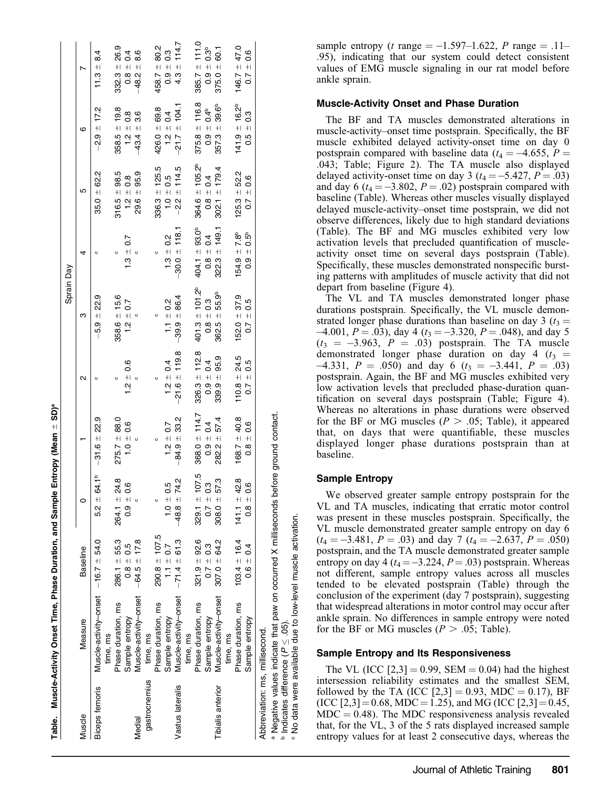| i<br>É   |
|----------|
|          |
|          |
|          |
|          |
|          |
|          |
| :<br>l   |
| $\vdots$ |
|          |
|          |
|          |
| I        |

|                                |                                                                                       |                   |                               |                             |                      | Sprain Day             |                                 |                          |                             |                                 |
|--------------------------------|---------------------------------------------------------------------------------------|-------------------|-------------------------------|-----------------------------|----------------------|------------------------|---------------------------------|--------------------------|-----------------------------|---------------------------------|
| Muscle                         | Measure                                                                               | <b>Baseline</b>   | 0                             |                             | N                    | ო                      | 4                               | ю                        | ဖ                           |                                 |
| <b>Biceps femoris</b>          | Muscle-activity-onset -16.7 ± 54.0<br>time, ms                                        |                   | 64.1 <sup>b</sup><br>$5.2 +$  | 22.9<br>$-31.6 +$           | O                    | 22.9<br>$+1$<br>5.9    | O                               | $35.0 - 62.2$            | 17.2<br>$\frac{+1}{2}$      | $\frac{4}{3}$<br>$\frac{+1}{2}$ |
|                                | Phase duration, ms                                                                    | $286.1 + 55.3$    | $\frac{8}{4}$<br>$264.1 +$    | $275.7 - 88.0$              | o                    | $358.6 \pm 15.6$       | $\circ$                         | $316.5 \pm 98.5$         | $358.5 \pm 19.8$            | $332.3 + 26.9$                  |
|                                | Sample entropy                                                                        | $0.8 + 0.5$       | <b>9.0</b><br>$-10,00$        | 9.o<br>$\frac{+1}{-}$       | °0<br>$12 +$         | 20<br>$1.2 +$          | $1.3 \pm 0.7$                   | $\frac{8}{2}$<br>$1.2 +$ | $\frac{8}{2}$<br>$1.2 +$    | $\pm 0.4$<br>$\overline{8}$     |
| Medial                         | Muscle-activity-onset                                                                 | $-64.5 \pm 17.8$  |                               |                             | $\circ$              | $\circ$                |                                 | $29.6 + 95.9$            | 3.6<br>$-43.4 +$            | 8.6<br>$-48.2 +$                |
| gastrocnemius                  | time, ms                                                                              |                   |                               |                             |                      |                        |                                 |                          |                             |                                 |
|                                | Phase duration, ms                                                                    | $290.8 \pm 107.5$ | $\circ$                       | o                           | $\circ$              | $\circ$                | $\circ$                         | $336.3 \pm 125.5$        | $426.0 \pm 69.8$            | 80.2<br>458.7 ±                 |
|                                | Sample entropy                                                                        | $1.1 \pm 0.7$     | 0.5<br>$\frac{+1}{-}$         | $12 +$                      | $1.2 \pm 0.4$        | $1.1 \pm 0.2$          | $\frac{2}{3}$<br>$1.3 +$        | $1.0 = 0.5$              | $\overline{0.4}$<br>$1.2 +$ | 0.3<br>$0.9 +$                  |
| Vastus lateralis               | Muscle-activity-onset                                                                 | $-71.4 \pm 61.3$  | 74.2<br>$-48.8 +$             | 33.2<br>$84.9 +$            | $-21.6 \pm 119.8$    | $-39.9 + 86.4$         | $-30.0 \pm 118$ .               | $-2.2 \pm 114.5$         | $-21.7 \pm 104.1$           | 114.7<br>$+1$<br>4.3            |
|                                | time, ms                                                                              |                   |                               |                             |                      |                        |                                 |                          |                             |                                 |
|                                | Phase duration, ms                                                                    | $321.9 + 92.6$    | 107.5<br>$329.1 +$            | $368.0 \pm 114.7$           | $326.3 \pm 112.8$    | $401.3 \pm 101.2^{b}$  | $404.1 \pm 93.0^{\circ}$        | $364.6 \pm 105.2^b$      | $375.8 \pm 116.8$           | $385.7 \pm 111.0$               |
|                                | Sample entropy                                                                        | $0.7 \pm 0.3$     | <u>က္</u><br>$-1 + 0$         | $\frac{4}{3}$<br>$-10.9$    | $\sim 1$<br>$-10,00$ | ვ<br>O<br>$0.8 + 0.0$  | $\frac{4}{1}$<br>$+1$<br>0.8    | $0.8 \pm 0.4$            | $0.4^{\circ}$<br>$0.9 +$    | 0.3 <sup>b</sup><br>$+1$<br>0.9 |
| Tibialis anterior              | Muscle-activity-onset                                                                 | $307.0 + 64.2$    | $308.0 + 57.3$                | $282.2 - 57.4$              | $339.9 + 95.9$       | $362.5 + 55.9^{\circ}$ | $322.3 \pm 149.1$               | $302.1 \pm 179.4$        | $357.3 + 39.6^b$            | 60.1<br>$375.0 +$               |
|                                | time, ms                                                                              |                   |                               |                             |                      |                        |                                 |                          |                             |                                 |
|                                | Phase duration, ms                                                                    | $103.4 \pm 16.4$  | $\frac{8}{2}$<br>$141.1 +$    | 68.7 $\pm$ 40.8             | $110.8 \pm 24.5$     | $152.0 \pm 37.9$       | $154.9 \pm 7.8$ <sup>b</sup>    | $125.3 + 52.2$           | $141.9 \pm 16.2^{b}$        | $146.7 \pm 47.0$                |
|                                | Sample entropy                                                                        | $0.6 \pm 0.4$     | $\ddot{\circ}$<br>$0.8 + 0.0$ | °0<br>$+1$<br>$\frac{8}{2}$ | $0.7 \pm 0.5$        | cs<br>$1 + 0.7$        | 0.5 <sup>b</sup><br>$+1$<br>0.9 | $0.7 \pm 0.6$            | C.S<br>$-1.5$               | 0.6<br>$1 + 0.7$                |
| Abbreviation: ms, millisecond. |                                                                                       |                   |                               |                             |                      |                        |                                 |                          |                             |                                 |
| h Indianta aiffeanna / D / OE) | a Negative values indicate that paw on occurred X milliseconds before ground contact. |                   |                               |                             |                      |                        |                                 |                          |                             |                                 |

sample entropy (*t* range  $= -1.597 - 1.622$ , *P* range  $= .11 -$ .95), indicating that our system could detect consistent values of EMG muscle signaling in our rat model before ankle sprain.

#### Muscle-Activity Onset and Phase Duration

The BF and TA muscles demonstrated alterations in muscle-activity–onset time postsprain. Specifically, the BF muscle exhibited delayed activity-onset time on day 0 postsprain compared with baseline data ( $t_4 = -4.655$ ,  $P =$ .043; Table; Figure 2). The TA muscle also displayed delayed activity-onset time on day 3 ( $t_4 = -5.427, P = .03$ ) and day 6 ( $t_4 = -3.802$ ,  $P = .02$ ) postsprain compared with baseline (Table). Whereas other muscles visually displayed delayed muscle-activity–onset time postsprain, we did not observe differences, likely due to high standard deviations (Table). The BF and MG muscles exhibited very low activation levels that precluded quantification of muscleactivity onset time on several days postsprain (Table). Specifically, these muscles demonstrated nonspecific bursting patterns with amplitudes of muscle activity that did not depart from baseline (Figure 4).

The VL and TA muscles demonstrated longer phase durations postsprain. Specifically, the VL muscle demonstrated longer phase durations than baseline on day 3 ( $t_3$  =  $-4.001, P = .03$ , day 4 ( $t_3 = -3.320, P = .048$ ), and day 5  $(t_3 = -3.963, P = .03)$  postsprain. The TA muscle demonstrated longer phase duration on day 4 ( $t_3$  =  $-4.331, P = .050$  and day 6 ( $t_3 = -3.441, P = .03$ ) postsprain. Again, the BF and MG muscles exhibited very low activation levels that precluded phase-duration quantification on several days postsprain (Table; Figure 4). Whereas no alterations in phase durations were observed for the BF or MG muscles ( $P > .05$ ; Table), it appeared that, on days that were quantifiable, these muscles displayed longer phase durations postsprain than at baseline.

# Sample Entropy

**P** Indicates difference (

data were available

 $\frac{9}{2}$ 

 $\vec{\bm{\nu}}$  .05). No data were available due to low-level muscle activation.

due to low-level muscle activation

We observed greater sample entropy postsprain for the VL and TA muscles, indicating that erratic motor control was present in these muscles postsprain. Specifically, the VL muscle demonstrated greater sample entropy on day 6  $(t_4 = -3.481, P = .03)$  and day 7  $(t_4 = -2.637, P = .050)$ postsprain, and the TA muscle demonstrated greater sample entropy on day 4 ( $t_4 = -3.224$ ,  $P = .03$ ) postsprain. Whereas not different, sample entropy values across all muscles tended to be elevated postsprain (Table) through the conclusion of the experiment (day 7 postsprain), suggesting that widespread alterations in motor control may occur after ankle sprain. No differences in sample entropy were noted for the BF or MG muscles ( $P > .05$ ; Table).

#### Sample Entropy and Its Responsiveness

The VL (ICC  $[2,3] = 0.99$ , SEM  $= 0.04$ ) had the highest intersession reliability estimates and the smallest SEM, followed by the TA (ICC [2,3] = 0.93, MDC = 0.17), BF  $(ICC [2,3] = 0.68, MDC = 1.25), and MG (ICC [2,3] = 0.45,$  $MDC = 0.48$ ). The MDC responsiveness analysis revealed that, for the VL, 3 of the 5 rats displayed increased sample entropy values for at least 2 consecutive days, whereas the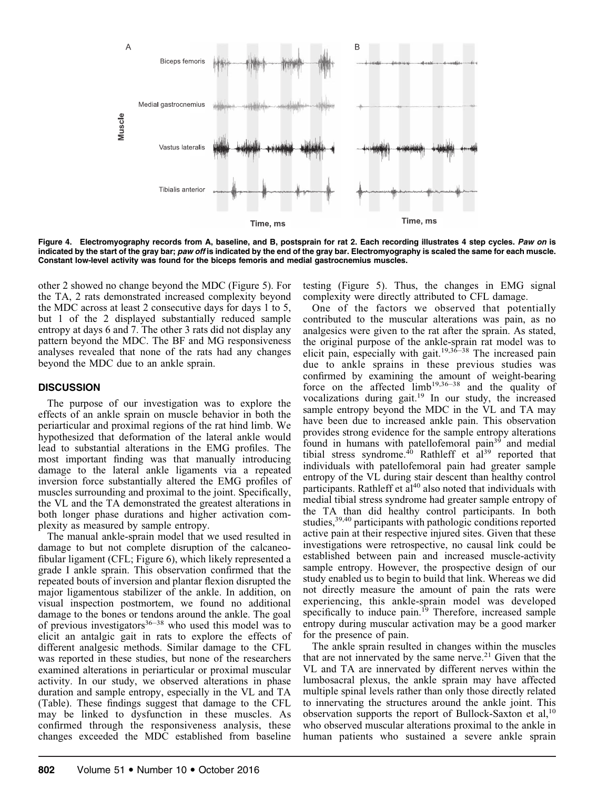

Figure 4. Electromyography records from A, baseline, and B, postsprain for rat 2. Each recording illustrates 4 step cycles. Paw on is indicated by the start of the gray bar; paw off is indicated by the end of the gray bar. Electromyography is scaled the same for each muscle. Constant low-level activity was found for the biceps femoris and medial gastrocnemius muscles.

other 2 showed no change beyond the MDC (Figure 5). For the TA, 2 rats demonstrated increased complexity beyond the MDC across at least 2 consecutive days for days 1 to 5, but 1 of the 2 displayed substantially reduced sample entropy at days 6 and 7. The other 3 rats did not display any pattern beyond the MDC. The BF and MG responsiveness analyses revealed that none of the rats had any changes beyond the MDC due to an ankle sprain.

#### **DISCUSSION**

The purpose of our investigation was to explore the effects of an ankle sprain on muscle behavior in both the periarticular and proximal regions of the rat hind limb. We hypothesized that deformation of the lateral ankle would lead to substantial alterations in the EMG profiles. The most important finding was that manually introducing damage to the lateral ankle ligaments via a repeated inversion force substantially altered the EMG profiles of muscles surrounding and proximal to the joint. Specifically, the VL and the TA demonstrated the greatest alterations in both longer phase durations and higher activation complexity as measured by sample entropy.

The manual ankle-sprain model that we used resulted in damage to but not complete disruption of the calcaneofibular ligament (CFL; Figure 6), which likely represented a grade I ankle sprain. This observation confirmed that the repeated bouts of inversion and plantar flexion disrupted the major ligamentous stabilizer of the ankle. In addition, on visual inspection postmortem, we found no additional damage to the bones or tendons around the ankle. The goal of previous investigators $36-38$  who used this model was to elicit an antalgic gait in rats to explore the effects of different analgesic methods. Similar damage to the CFL was reported in these studies, but none of the researchers examined alterations in periarticular or proximal muscular activity. In our study, we observed alterations in phase duration and sample entropy, especially in the VL and TA (Table). These findings suggest that damage to the CFL may be linked to dysfunction in these muscles. As confirmed through the responsiveness analysis, these changes exceeded the MDC established from baseline

testing (Figure 5). Thus, the changes in EMG signal complexity were directly attributed to CFL damage.

One of the factors we observed that potentially contributed to the muscular alterations was pain, as no analgesics were given to the rat after the sprain. As stated, the original purpose of the ankle-sprain rat model was to elicit pain, especially with gait.<sup>19,36-38</sup> The increased pain due to ankle sprains in these previous studies was confirmed by examining the amount of weight-bearing force on the affected  $limb<sup>19,36-38</sup>$  and the quality of vocalizations during gait.<sup>19</sup> In our study, the increased sample entropy beyond the MDC in the VL and TA may have been due to increased ankle pain. This observation provides strong evidence for the sample entropy alterations found in humans with patellofemoral pain $3<sup>5</sup>$  and medial tibial stress syndrome.<sup>40</sup> Rathleff et  $al^{39}$  reported that individuals with patellofemoral pain had greater sample entropy of the VL during stair descent than healthy control participants. Rathleff et  $a^{140}$  also noted that individuals with medial tibial stress syndrome had greater sample entropy of the TA than did healthy control participants. In both studies,<sup>39,40</sup> participants with pathologic conditions reported active pain at their respective injured sites. Given that these investigations were retrospective, no causal link could be established between pain and increased muscle-activity sample entropy. However, the prospective design of our study enabled us to begin to build that link. Whereas we did not directly measure the amount of pain the rats were experiencing, this ankle-sprain model was developed specifically to induce pain.<sup>19</sup> Therefore, increased sample entropy during muscular activation may be a good marker for the presence of pain.

The ankle sprain resulted in changes within the muscles that are not innervated by the same nerve.<sup>21</sup> Given that the VL and TA are innervated by different nerves within the lumbosacral plexus, the ankle sprain may have affected multiple spinal levels rather than only those directly related to innervating the structures around the ankle joint. This observation supports the report of Bullock-Saxton et al,<sup>10</sup> who observed muscular alterations proximal to the ankle in human patients who sustained a severe ankle sprain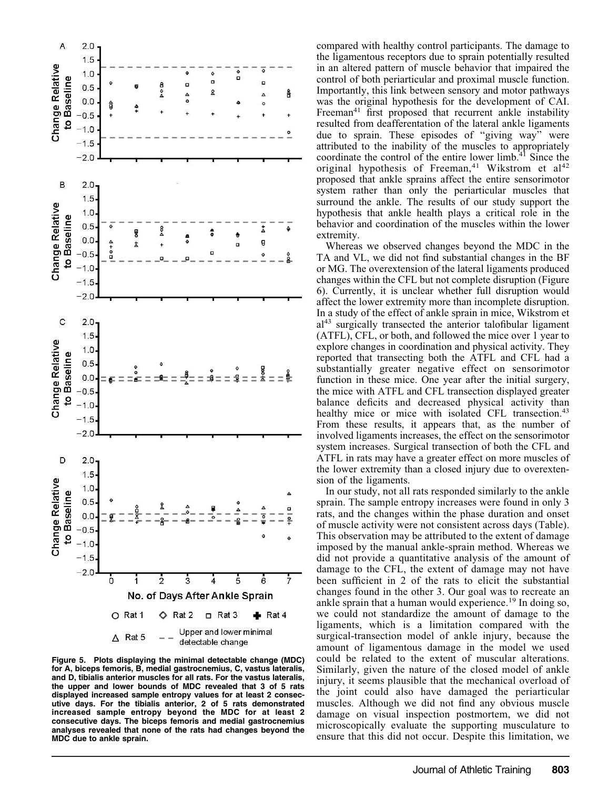

Figure 5. Plots displaying the minimal detectable change (MDC) for A, biceps femoris, B, medial gastrocnemius, C, vastus lateralis, and D, tibialis anterior muscles for all rats. For the vastus lateralis, the upper and lower bounds of MDC revealed that 3 of 5 rats displayed increased sample entropy values for at least 2 consecutive days. For the tibialis anterior, 2 of 5 rats demonstrated increased sample entropy beyond the MDC for at least 2 consecutive days. The biceps femoris and medial gastrocnemius analyses revealed that none of the rats had changes beyond the MDC due to ankle sprain.

compared with healthy control participants. The damage to the ligamentous receptors due to sprain potentially resulted in an altered pattern of muscle behavior that impaired the control of both periarticular and proximal muscle function. Importantly, this link between sensory and motor pathways was the original hypothesis for the development of CAI. Freeman<sup>41</sup> first proposed that recurrent ankle instability resulted from deafferentation of the lateral ankle ligaments due to sprain. These episodes of ''giving way'' were attributed to the inability of the muscles to appropriately coordinate the control of the entire lower limb.<sup>41</sup> Since the original hypothesis of Freeman,<sup>41</sup> Wikstrom et al<sup>42</sup> proposed that ankle sprains affect the entire sensorimotor system rather than only the periarticular muscles that surround the ankle. The results of our study support the hypothesis that ankle health plays a critical role in the behavior and coordination of the muscles within the lower extremity.

Whereas we observed changes beyond the MDC in the TA and VL, we did not find substantial changes in the BF or MG. The overextension of the lateral ligaments produced changes within the CFL but not complete disruption (Figure 6). Currently, it is unclear whether full disruption would affect the lower extremity more than incomplete disruption. In a study of the effect of ankle sprain in mice, Wikstrom et al<sup>43</sup> surgically transected the anterior talofibular ligament (ATFL), CFL, or both, and followed the mice over 1 year to explore changes in coordination and physical activity. They reported that transecting both the ATFL and CFL had a substantially greater negative effect on sensorimotor function in these mice. One year after the initial surgery, the mice with ATFL and CFL transection displayed greater balance deficits and decreased physical activity than healthy mice or mice with isolated CFL transection.<sup>43</sup> From these results, it appears that, as the number of involved ligaments increases, the effect on the sensorimotor system increases. Surgical transection of both the CFL and ATFL in rats may have a greater effect on more muscles of the lower extremity than a closed injury due to overextension of the ligaments.

In our study, not all rats responded similarly to the ankle sprain. The sample entropy increases were found in only 3 rats, and the changes within the phase duration and onset of muscle activity were not consistent across days (Table). This observation may be attributed to the extent of damage imposed by the manual ankle-sprain method. Whereas we did not provide a quantitative analysis of the amount of damage to the CFL, the extent of damage may not have been sufficient in 2 of the rats to elicit the substantial changes found in the other 3. Our goal was to recreate an ankle sprain that a human would experience.<sup>19</sup> In doing so, we could not standardize the amount of damage to the ligaments, which is a limitation compared with the surgical-transection model of ankle injury, because the amount of ligamentous damage in the model we used could be related to the extent of muscular alterations. Similarly, given the nature of the closed model of ankle injury, it seems plausible that the mechanical overload of the joint could also have damaged the periarticular muscles. Although we did not find any obvious muscle damage on visual inspection postmortem, we did not microscopically evaluate the supporting musculature to ensure that this did not occur. Despite this limitation, we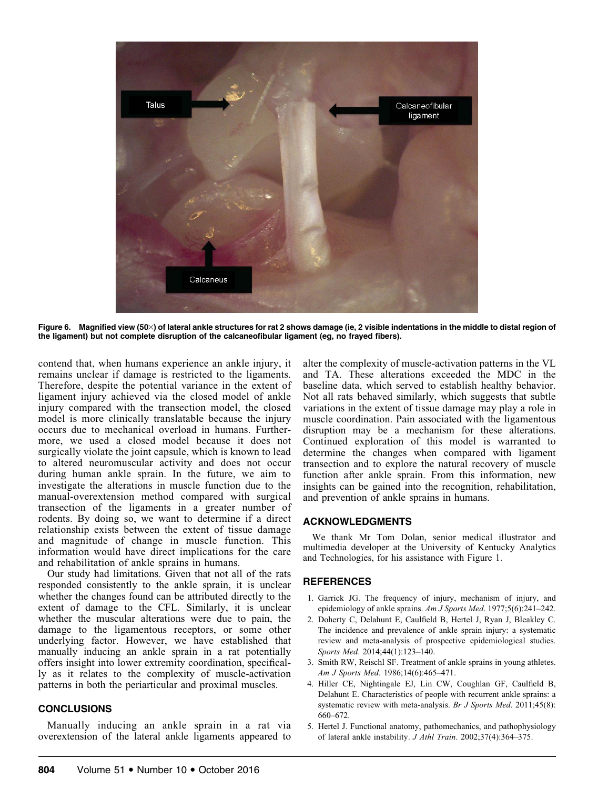

Figure 6. Magnified view (50×) of lateral ankle structures for rat 2 shows damage (ie, 2 visible indentations in the middle to distal region of the ligament) but not complete disruption of the calcaneofibular ligament (eg, no frayed fibers).

contend that, when humans experience an ankle injury, it remains unclear if damage is restricted to the ligaments. Therefore, despite the potential variance in the extent of ligament injury achieved via the closed model of ankle injury compared with the transection model, the closed model is more clinically translatable because the injury occurs due to mechanical overload in humans. Furthermore, we used a closed model because it does not surgically violate the joint capsule, which is known to lead to altered neuromuscular activity and does not occur during human ankle sprain. In the future, we aim to investigate the alterations in muscle function due to the manual-overextension method compared with surgical transection of the ligaments in a greater number of rodents. By doing so, we want to determine if a direct relationship exists between the extent of tissue damage and magnitude of change in muscle function. This information would have direct implications for the care and rehabilitation of ankle sprains in humans.

Our study had limitations. Given that not all of the rats responded consistently to the ankle sprain, it is unclear whether the changes found can be attributed directly to the extent of damage to the CFL. Similarly, it is unclear whether the muscular alterations were due to pain, the damage to the ligamentous receptors, or some other underlying factor. However, we have established that manually inducing an ankle sprain in a rat potentially offers insight into lower extremity coordination, specifically as it relates to the complexity of muscle-activation patterns in both the periarticular and proximal muscles.

#### **CONCLUSIONS**

Manually inducing an ankle sprain in a rat via overextension of the lateral ankle ligaments appeared to alter the complexity of muscle-activation patterns in the VL and TA. These alterations exceeded the MDC in the baseline data, which served to establish healthy behavior. Not all rats behaved similarly, which suggests that subtle variations in the extent of tissue damage may play a role in muscle coordination. Pain associated with the ligamentous disruption may be a mechanism for these alterations. Continued exploration of this model is warranted to determine the changes when compared with ligament transection and to explore the natural recovery of muscle function after ankle sprain. From this information, new insights can be gained into the recognition, rehabilitation, and prevention of ankle sprains in humans.

#### ACKNOWLEDGMENTS

We thank Mr Tom Dolan, senior medical illustrator and multimedia developer at the University of Kentucky Analytics and Technologies, for his assistance with Figure 1.

#### **REFERENCES**

- 1. Garrick JG. The frequency of injury, mechanism of injury, and epidemiology of ankle sprains. Am J Sports Med. 1977;5(6):241-242.
- 2. Doherty C, Delahunt E, Caulfield B, Hertel J, Ryan J, Bleakley C. The incidence and prevalence of ankle sprain injury: a systematic review and meta-analysis of prospective epidemiological studies. Sports Med. 2014;44(1):123-140.
- 3. Smith RW, Reischl SF. Treatment of ankle sprains in young athletes. Am J Sports Med. 1986;14(6):465–471.
- 4. Hiller CE, Nightingale EJ, Lin CW, Coughlan GF, Caulfield B, Delahunt E. Characteristics of people with recurrent ankle sprains: a systematic review with meta-analysis. Br J Sports Med. 2011;45(8): 660–672.
- 5. Hertel J. Functional anatomy, pathomechanics, and pathophysiology of lateral ankle instability. J Athl Train. 2002;37(4):364–375.